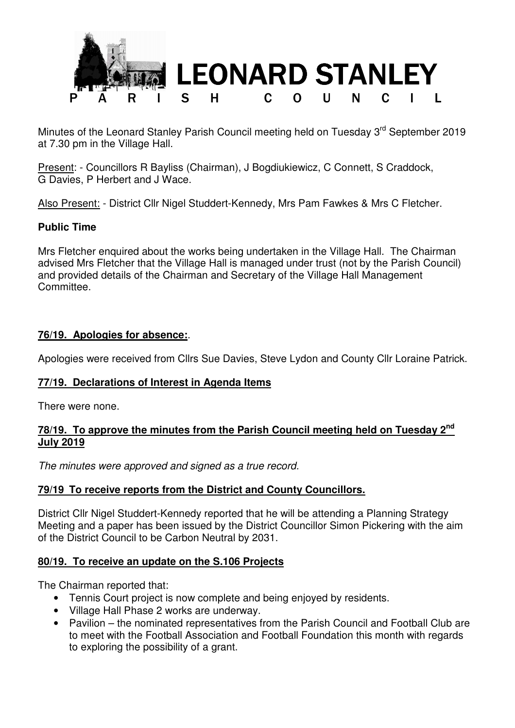

Minutes of the Leonard Stanley Parish Council meeting held on Tuesday 3<sup>rd</sup> September 2019 at 7.30 pm in the Village Hall.

Present: - Councillors R Bayliss (Chairman), J Bogdiukiewicz, C Connett, S Craddock, G Davies, P Herbert and J Wace.

Also Present: - District Cllr Nigel Studdert-Kennedy, Mrs Pam Fawkes & Mrs C Fletcher.

### **Public Time**

Mrs Fletcher enquired about the works being undertaken in the Village Hall. The Chairman advised Mrs Fletcher that the Village Hall is managed under trust (not by the Parish Council) and provided details of the Chairman and Secretary of the Village Hall Management **Committee** 

#### **76/19. Apologies for absence:**.

Apologies were received from Cllrs Sue Davies, Steve Lydon and County Cllr Loraine Patrick.

#### **77/19. Declarations of Interest in Agenda Items**

There were none.

### **78/19. To approve the minutes from the Parish Council meeting held on Tuesday 2nd July 2019**

The minutes were approved and signed as a true record.

### **79/19 To receive reports from the District and County Councillors.**

District Cllr Nigel Studdert-Kennedy reported that he will be attending a Planning Strategy Meeting and a paper has been issued by the District Councillor Simon Pickering with the aim of the District Council to be Carbon Neutral by 2031.

### **80/19. To receive an update on the S.106 Projects**

The Chairman reported that:

- Tennis Court project is now complete and being enjoyed by residents.
- Village Hall Phase 2 works are underway.
- Pavilion the nominated representatives from the Parish Council and Football Club are to meet with the Football Association and Football Foundation this month with regards to exploring the possibility of a grant.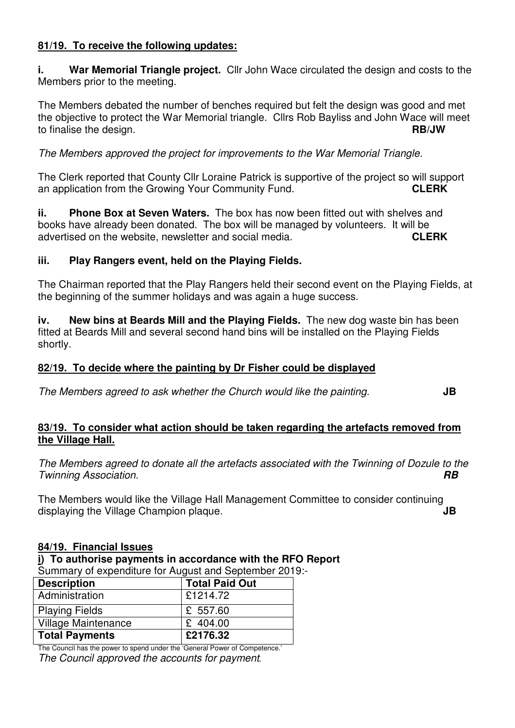### **81/19. To receive the following updates:**

**i.** War Memorial Triangle project. Cllr John Wace circulated the design and costs to the Members prior to the meeting.

The Members debated the number of benches required but felt the design was good and met the objective to protect the War Memorial triangle. Cllrs Rob Bayliss and John Wace will meet to finalise the design. **RB/JW** 

The Members approved the project for improvements to the War Memorial Triangle.

The Clerk reported that County Cllr Loraine Patrick is supportive of the project so will support an application from the Growing Your Community Fund. **CLERK**

**ii. Phone Box at Seven Waters.** The box has now been fitted out with shelves and books have already been donated. The box will be managed by volunteers. It will be advertised on the website, newsletter and social media. **CLERK**

### **iii. Play Rangers event, held on the Playing Fields.**

The Chairman reported that the Play Rangers held their second event on the Playing Fields, at the beginning of the summer holidays and was again a huge success.

**iv. New bins at Beards Mill and the Playing Fields.** The new dog waste bin has been fitted at Beards Mill and several second hand bins will be installed on the Playing Fields shortly.

# **82/19. To decide where the painting by Dr Fisher could be displayed**

The Members agreed to ask whether the Church would like the painting. **JB**

### **83/19. To consider what action should be taken regarding the artefacts removed from the Village Hall.**

The Members agreed to donate all the artefacts associated with the Twinning of Dozule to the Twinning Association. **RB**

The Members would like the Village Hall Management Committee to consider continuing displaying the Village Champion plaque. **JB** 

### **84/19. Financial Issues**

**i) To authorise payments in accordance with the RFO Report**  Summary of expenditure for August and September 2019:-

| <b>Cammany or exponsitions ion magaot and coptombol Long</b> |                       |
|--------------------------------------------------------------|-----------------------|
| <b>Description</b>                                           | <b>Total Paid Out</b> |
| Administration                                               | £1214.72              |
| <b>Playing Fields</b>                                        | £ 557.60              |
| Village Maintenance                                          | £ 404.00              |
| <b>Total Payments</b>                                        | £2176.32              |

The Council has the power to spend under the 'General Power of Competence.' The Council approved the accounts for payment*.*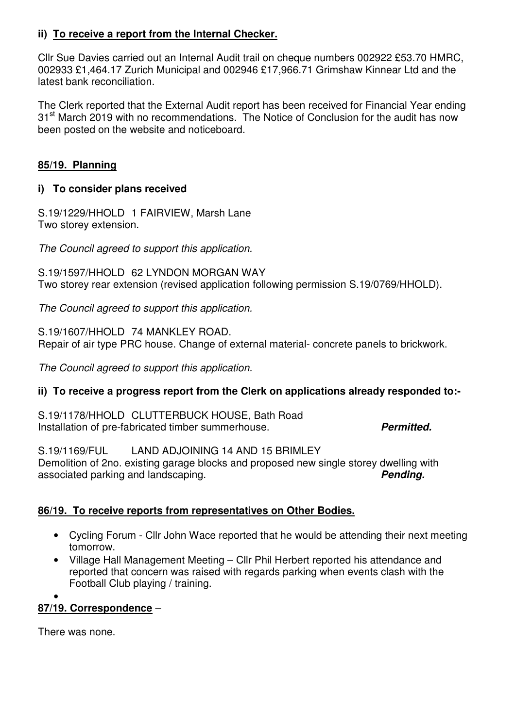# **ii) To receive a report from the Internal Checker.**

Cllr Sue Davies carried out an Internal Audit trail on cheque numbers 002922 £53.70 HMRC, 002933 £1,464.17 Zurich Municipal and 002946 £17,966.71 Grimshaw Kinnear Ltd and the latest bank reconciliation.

The Clerk reported that the External Audit report has been received for Financial Year ending 31<sup>st</sup> March 2019 with no recommendations. The Notice of Conclusion for the audit has now been posted on the website and noticeboard.

### **85/19. Planning**

### **i) To consider plans received**

S.19/1229/HHOLD 1 FAIRVIEW, Marsh Lane Two storey extension.

The Council agreed to support this application.

S.19/1597/HHOLD 62 LYNDON MORGAN WAY Two storey rear extension (revised application following permission S.19/0769/HHOLD).

The Council agreed to support this application.

S.19/1607/HHOLD 74 MANKLEY ROAD. Repair of air type PRC house. Change of external material- concrete panels to brickwork.

The Council agreed to support this application.

# **ii) To receive a progress report from the Clerk on applications already responded to:-**

S.19/1178/HHOLD CLUTTERBUCK HOUSE, Bath Road Installation of pre-fabricated timber summerhouse. **Permitted.** 

 $S.19/1169/FU$  LAND ADJOINING 14 AND 15 BRIMLEY Demolition of 2no. existing garage blocks and proposed new single storey dwelling with associated parking and landscaping. **Pending.** 

# **86/19. To receive reports from representatives on Other Bodies.**

- Cycling Forum Cllr John Wace reported that he would be attending their next meeting tomorrow.
- Village Hall Management Meeting Cllr Phil Herbert reported his attendance and reported that concern was raised with regards parking when events clash with the Football Club playing / training.

•

### **87/19. Correspondence** –

There was none.